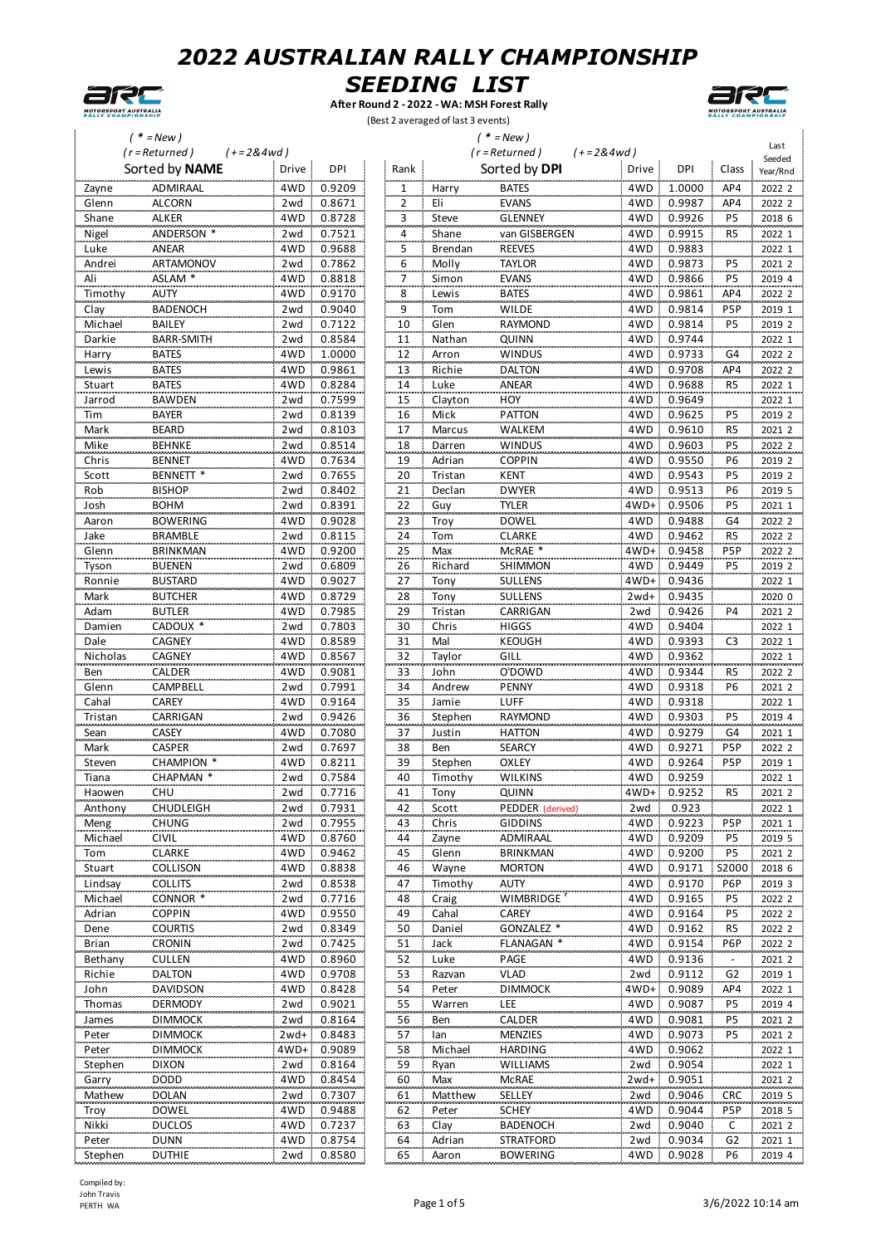



**After Round 2 - 2022 - WA: MSH Forest Rally** (Best 2 averaged of last 3 events)



Last Seeded<br>Year/Rnd

|          | $* = New)$           |                              |                     |         | $' * = New)$          |                  |                          |                |
|----------|----------------------|------------------------------|---------------------|---------|-----------------------|------------------|--------------------------|----------------|
|          | $(r = Returned)$     | $(+=2&4wd)$                  |                     |         | $(r = Returned)$      | $(+=2&4wd)$      |                          | Last<br>Seeded |
|          | Sorted by NAME       | Drive :<br>DPI               | Rank                |         | Sorted by DPI         | Drive<br>DPI     | Class                    | Year/Rnc       |
| Zayne    | ADMIRAAL             | 4WD<br>0.9209                | 1                   | Harry   | <b>BATES</b>          | 4WD<br>1.0000    | AP4                      | 2022 2         |
| Glenn    | <b>ALCORN</b>        | 0.8671<br>2wd                |                     | Eli     | <b>EVANS</b>          | 4WD<br>0.9987    | AP4                      | 2022 2         |
| Shane    | ALKER                | 4WD<br>0.8728                | $\overline{z}$<br>3 | Steve   | <b>GLENNEY</b>        | 0.9926<br>4WD    | P5                       | 2018 6         |
| Nigel    | ANDERSON *           | 0.7521<br>2wd                | 4                   | Shane   | van GISBERGEN         | 0.9915<br>4WD    | R <sub>5</sub>           | 2022 1         |
| Luke     | ANEAR                | 0.9688<br>4WD                |                     | Brendan | <b>REEVES</b>         | 4WD<br>0.9883    |                          |                |
|          |                      |                              | 5                   |         |                       |                  |                          | 2022 1         |
| Andrei   | ARTAMONOV            | 0.7862<br>2wd                | $\frac{6}{1}$       | Molly   | <b>TAYLOR</b>         | 4WD<br>0.9873    | P5                       | 2021 2         |
| Ali      | ASLAM *              | 4WD<br>0.8818                | $\overline{7}$      | Simon   | <b>EVANS</b>          | 0.9866<br>4WD    | P <sub>5</sub>           | 2019 4         |
| Timothy  | <b>AUTY</b>          | 4WD<br>0.9170                | 8                   | Lewis   | <b>BATES</b>          | 4WD<br>0.9861    | AP4                      | 2022 2         |
| Clay     | <b>BADENOCH</b>      | 0.9040<br>2wd                | 9                   | Tom     | <b>WILDE</b>          | 4WD<br>0.9814    | P <sub>5</sub> P         | 2019 1         |
| Michael  | <b>BAILEY</b>        | 0.7122<br>2wd                | 10                  | Glen    | <b>RAYMOND</b>        | 0.9814<br>4WD    | P5                       | 2019 2         |
| Darkie   | <b>BARR-SMITH</b>    | 0.8584<br>2wd                | 11                  | Nathan  | QUINN                 | 4WD<br>0.9744    |                          | 2022 1         |
| Harry    | <b>BATES</b>         | 4WD<br>1.0000                | 12                  | Arron   | <b>WINDUS</b>         | 4WD<br>0.9733    | G4                       | 2022 2         |
| Lewis    | <b>BATES</b>         | 4WD<br>0.9861                | 13                  | Richie  | <b>DALTON</b>         | 4WD<br>0.9708    | AP4                      | 2022 2         |
| Stuart   | <b>BATES</b>         | 4WD<br>0.8284                | 14                  | Luke    | ANEAR                 | 4WD<br>0.9688    | R <sub>5</sub>           | 2022 1         |
| Jarrod   | <b>BAWDEN</b>        | 0.7599<br>2wd                | 15                  | Clayton | HOY                   | 0.9649<br>4WD    |                          | 2022 1         |
| Tim      | <b>BAYER</b>         | 0.8139<br>2wd                | 16                  | Mick    | <b>PATTON</b>         | 4WD<br>0.9625    | P5                       | 2019 2         |
| Mark     | <b>BEARD</b>         | 2wd<br>0.8103                | 17                  | Marcus  | WALKEM                | 0.9610<br>4WD    | R <sub>5</sub>           | 2021 2         |
| Mike     | <b>BEHNKE</b>        | 0.8514<br>2wd                | 18                  | Darren  | <b>WINDUS</b>         | 0.9603<br>4WD    | P <sub>5</sub>           | 2022 2         |
| Chris    | <b>BENNET</b>        | 0.7634<br>4WD                | 19                  | Adrian  | <b>COPPIN</b>         | 4WD<br>0.9550    | P6                       | 2019 2         |
| Scott    | BENNETT <sup>*</sup> | 0.7655<br>2wd                | 20                  | Tristan | <b>KENT</b>           | 0.9543<br>4WD    | P5                       | 2019 2         |
| Rob      | <b>BISHOP</b>        | 0.8402<br>2wd                | 21                  | Declan  | <b>DWYER</b>          | 0.9513<br>4WD    | P <sub>6</sub>           | 2019 5         |
| Josh     | <b>BOHM</b>          | 0.8391<br>2wd                |                     | Guy     | <b>TYLER</b>          | 0.9506<br>4WD+   | P5                       | 2021 1         |
|          | <b>BOWERING</b>      | 4WD<br>0.9028                | $^{22}$             |         |                       | 4WD<br>0.9488    | G4                       |                |
| Aaron    |                      |                              | 23                  | Troy    | <b>DOWEL</b>          |                  |                          | 2022 2         |
| Jake     | <b>BRAMBLE</b>       | 0.8115<br>2wd                | 24                  | Tom     | CLARKE                | 4WD<br>0.9462    | R5                       | 2022 2         |
| Glenn    | <b>BRINKMAN</b>      | 0.9200<br>4WD                | 25                  | Max     | McRAE *               | $4WD+$<br>0.9458 | P <sub>5</sub> P         | 2022 2         |
| Tyson    | <b>BUENEN</b>        | 2wd<br>0.6809                | 26                  | Richard | SHIMMON               | 4WD<br>0.9449    | P5                       | 2019 2         |
| Ronnie   | <b>BUSTARD</b>       | 4WD<br>0.9027                | 27                  | Tony    | SULLENS               | 4WD+<br>0.9436   |                          | 2022 1         |
| Mark     | <b>BUTCHER</b>       | 0.8729<br>4WD                | 28                  | Tony    | <b>SULLENS</b>        | 0.9435<br>$2wd+$ |                          | 2020 0         |
| Adam     | <b>BUTLER</b>        | 0.7985<br>4WD                | 29                  | Tristan | CARRIGAN              | 0.9426<br>2wd    | P4                       | 2021 2         |
| Damien   | CADOUX *             | 0.7803<br>2wd                | 30                  | Chris   | <b>HIGGS</b>          | 0.9404<br>4WD    |                          | 2022 1         |
| Dale     | CAGNEY               | 4WD<br>0.8589                | 31                  | Mal     | <b>KEOUGH</b>         | 4WD<br>0.9393    | C <sub>3</sub>           | 2022 1         |
| Nicholas | CAGNEY               | 0.8567<br>4WD                | 32                  | Taylor  | GILL                  | 4WD<br>0.9362    |                          | 2022 1         |
| Ben      | CALDER               | 0.9081<br>4WD                | 33                  | John    | O'DOWD                | 0.9344<br>4WD    | R5                       | 2022 2         |
| Glenn    | CAMPBELL             | 0.7991<br>2wd                | 34                  | Andrew  | <b>PENNY</b>          | 0.9318<br>4WD    | P <sub>6</sub>           | 2021 2         |
| Cahal    | CAREY                | 4WD<br>0.9164                | 35                  | Jamie   | LUFF                  | 0.9318<br>4WD    |                          | 2022 1         |
| Tristan  | CARRIGAN             | 0.9426<br>2wd                | 36                  | Stephen | <b>RAYMOND</b>        | 0.9303<br>4WD    | P5                       | 2019 4         |
| Sean     | CASEY                | 4WD<br>0.7080                | 37                  | Justin  | <b>HATTON</b>         | 0.9279<br>4WD    | G4                       | 2021 1         |
| Mark     | <b>CASPER</b>        | 0.7697<br>2wd                | 38                  | Ben     | <b>SEARCY</b>         | 0.9271<br>4WD    | P5P                      | 2022 2         |
| Steven   | <b>CHAMPION</b>      | 4WD<br>0.8211                | 39                  | Stephen | OXLEY                 | 4WD<br>0.9264    | P5P                      | 2019 1         |
| Tiana    | CHAPMAN *            | 2wd 0.7584                   | 40                  | Timothy | <b>WILKINS</b>        | 0.9259<br>4WD    |                          | 2022 1         |
|          | CHU                  |                              | 41                  |         |                       |                  | R <sub>5</sub>           |                |
| Haowen   |                      | $2wd = 0.7716$<br>2wd 0.7931 |                     | Tony    | QUINN                 | $4WD + 0.9252$   |                          | 2021 2         |
| Anthony  | CHUDLEIGH            |                              | 42                  | Scott   | PEDDER (derived)      | 0.923<br>2wd     |                          | 2022 1         |
| Meng     | <b>CHUNG</b>         | 2wd 0.7955                   | 43                  | Chris   | <b>GIDDINS</b>        | 4WD<br>0.9223    | P <sub>5</sub> P         | 2021 1         |
| Michael  | <b>CIVIL</b>         | 4WD 0.8760                   | 44                  | Zayne   | ADMIRAAL              | 4WD<br>0.9209    | P5                       | 2019 5         |
| Tom      | <b>CLARKE</b>        | 4WD 0.9462                   | 45                  | Glenn   | <b>BRINKMAN</b>       | 0.9200<br>4WD    | P <sub>5</sub>           | 2021 2         |
| Stuart   | COLLISON             | 4WD 0.8838                   | 46                  | Wayne   | <b>MORTON</b>         | 4WD<br>0.9171    | S2000                    | 2018 6         |
| Lindsay  | <b>COLLITS</b>       | 2wd 0.8538                   | 47                  | Timothy | AUTY                  | 0.9170<br>4WD    | P6P                      | 2019 3         |
| Michael  | CONNOR <sup>*</sup>  | 2wd 0.7716                   | 48                  | Craig   | <b>WIMBRIDGE</b>      | 0.9165<br>4WD    | P5                       | 2022 2         |
| Adrian   | <b>COPPIN</b>        | 4WD 0.9550                   | 49                  | Cahal   | CAREY                 | 0.9164<br>4WD    | P5                       | 2022 2         |
| Dene     | <b>COURTIS</b>       | 0.8349<br>2wd -              | 50                  | Daniel  | GONZALEZ <sup>*</sup> | 0.9162<br>4WD    | R5                       | 2022 2         |
| Brian    | <b>CRONIN</b>        | 2wd :<br>0.7425              | 51                  | Jack    | FLANAGAN *            | 0.9154<br>4WD    | P6P                      | 2022 2         |
| Bethany  | <b>CULLEN</b>        | 4WD 0.8960                   | 52                  | Luke    | PAGE                  | 0.9136<br>4WD    | $\overline{\phantom{a}}$ | 2021 2         |
| Richie   | <b>DALTON</b>        | 4WD 0.9708                   | 53                  | Razvan  | <b>VLAD</b>           | 0.9112<br>2wd    | G2                       | 2019 1         |
| John     | <b>DAVIDSON</b>      | 4WD 0.8428                   | 54                  | Peter   | <b>DIMMOCK</b>        | 4WD+<br>0.9089   | AP4                      | 2022 1         |
| Thomas   | <b>DERMODY</b>       | 2wd 0.9021                   | 55                  | Warren  | LEE                   | 0.9087<br>4WD    | P <sub>5</sub>           | 2019 4         |
| James    | <b>DIMMOCK</b>       | 2wd 0.8164                   |                     | Ben     | CALDER                | 4WD<br>0.9081    | P5                       | 2021 2         |
|          |                      |                              | 56                  |         |                       |                  |                          |                |
| Peter    | <b>DIMMOCK</b>       | 2wd+ 0.8483                  | 57                  | lan     | <b>MENZIES</b>        | 0.9073<br>4WD    | P5                       | 2021 2         |
| Peter    | <b>DIMMOCK</b>       | 4WD+ 0.9089                  | 58                  | Michael | <b>HARDING</b>        | 0.9062<br>4WD    |                          | 2022 1         |
| Stephen  | <b>DIXON</b>         | 2wd 0.8164                   | 59                  | Ryan    | <b>WILLIAMS</b>       | 0.9054<br>2wd    |                          | 2022 1         |
| Garry    | <b>DODD</b>          | 4WD 0.8454                   | 60                  | Max     | <b>McRAE</b>          | 0.9051<br>$2wd+$ |                          | 2021 2         |
| Mathew   | <b>DOLAN</b>         | 2wd 0.7307                   | 61                  | Matthew | SELLEY                | 0.9046<br>2wd    | CRC                      | 2019 5         |
| Troy     | <b>DOWEL</b>         | 4WD 0.9488                   | 62                  | Peter   | <b>SCHEY</b>          | 4WD<br>0.9044    | P <sub>5</sub> P         | 2018 5         |
| Nikki    | <b>DUCLOS</b>        | 4WD 0.7237                   | 63                  | Clay    | <b>BADENOCH</b>       | 0.9040<br>2wd    | C                        | 2021 2         |
| Peter    | <b>DUNN</b>          | 4WD 0.8754                   | 64                  | Adrian  | <b>STRATFORD</b>      | 0.9034<br>2wd    | G <sub>2</sub>           | 2021 1         |
| Stephen  | <b>DUTHIE</b>        | 2wd 0.8580                   | 65                  | Aaron   | <b>BOWERING</b>       | 4WD 0.9028       | P <sub>6</sub>           | 2019 4         |

Compiled by: John Travis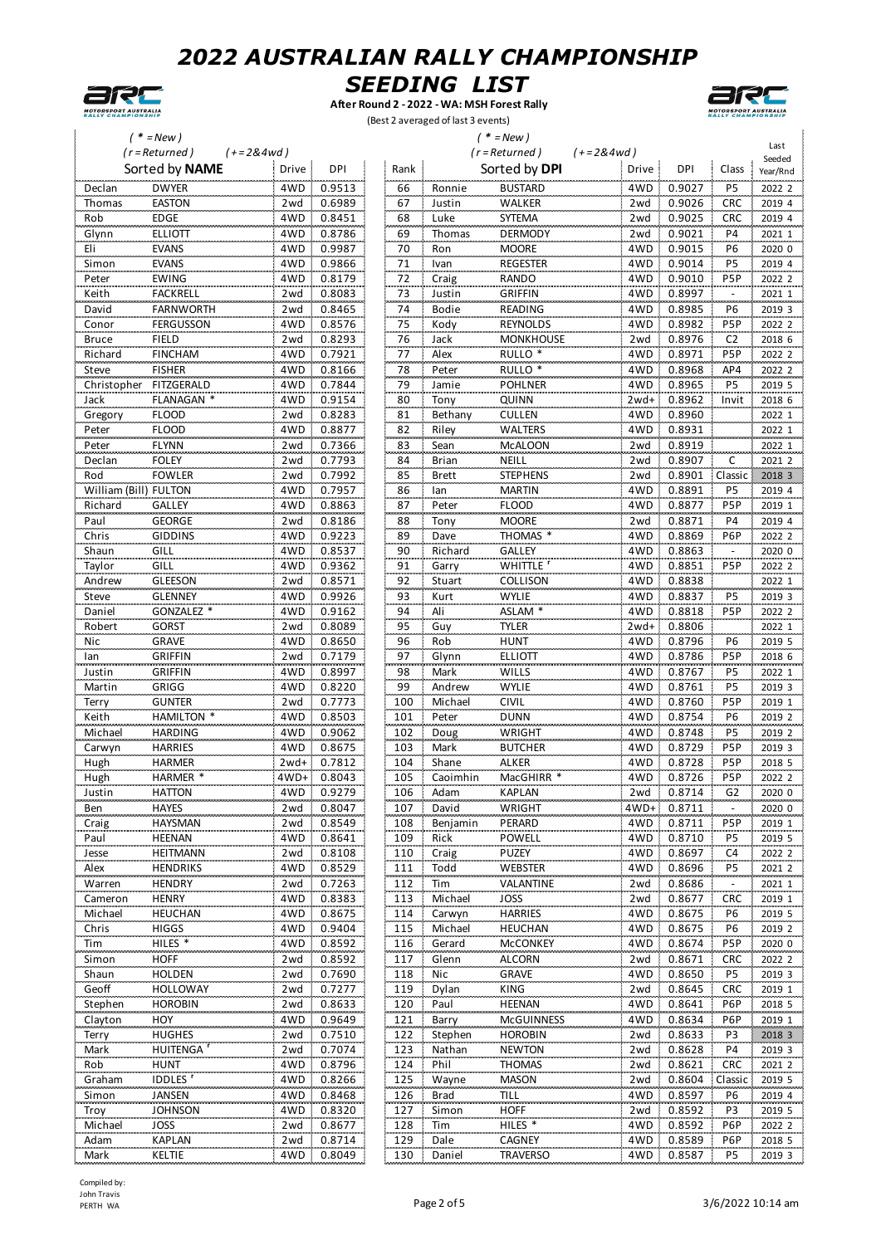



**After Round 2 - 2022 - WA: MSH Forest Rally** (Best 2 averaged of last 3 events)



|              | $'$ * = New )                             |                | $(* = New)$ |              |                     |             |        |                  |                |  |
|--------------|-------------------------------------------|----------------|-------------|--------------|---------------------|-------------|--------|------------------|----------------|--|
|              | $(r = Returned)$                          | $(+=2&4wd)$    |             |              | $(r = Returned)$    | $(+=2&4wd)$ |        |                  | Last<br>Seeded |  |
|              | Sorted by NAME                            | Drive<br>DPI   | Rank        |              | Sorted by DPI       | Drive       | DPI    | Class            | Year/Rnd       |  |
| Declan       | <b>DWYER</b>                              | 4WD<br>0.9513  | 66          | Ronnie       | <b>BUSTARD</b>      | 4WD         | 0.9027 | P <sub>5</sub>   | 2022 2         |  |
| Thomas       | <b>EASTON</b>                             | 2wd<br>0.6989  | 67          | Justin       | WALKER              | 2wd         | 0.9026 | CRC              | 2019 4         |  |
| Rob          | <b>EDGE</b>                               | 4WD<br>0.8451  | 68          | Luke         | SYTEMA              | 2wd         | 0.9025 | <b>CRC</b>       | 2019 4         |  |
| Glynn        | <b>ELLIOTT</b>                            | 0.8786<br>4WD  | 69          | Thomas       | <b>DERMODY</b>      | 2wd         | 0.9021 | P4               | 2021 1         |  |
| Eli          | <b>EVANS</b>                              | 4WD<br>0.9987  | 70          | Ron          | <b>MOORE</b>        | 4WD         | 0.9015 | P6               | 2020 0         |  |
| Simon        | <b>EVANS</b>                              | 4WD<br>0.9866  | 71          | Ivan         | <b>REGESTER</b>     | 4WD         | 0.9014 | P <sub>5</sub>   | 2019 4         |  |
| Peter        | <b>EWING</b>                              | 4WD<br>0.8179  | 72          | Craig        | RANDO               | 4WD         | 0.9010 | P <sub>5</sub> P | 2022 2         |  |
| Keith        | <b>FACKRELL</b>                           | 0.8083<br>2wd  | 73          | Justin       | <b>GRIFFIN</b>      | 4WD         | 0.8997 |                  | 2021 1         |  |
| David        | <b>FARNWORTH</b>                          | 0.8465<br>2wd  | 74          | Bodie        | READING             | 4WD<br>-7   | 0.8985 | P6               | 2019 3         |  |
| Conor        | FERGUSSON                                 | 4WD<br>0.8576  | 75          | Kody         | <b>REYNOLDS</b>     | 4WD         | 0.8982 | P <sub>5</sub> P | 2022 2         |  |
| <b>Bruce</b> | <b>FIELD</b>                              | 0.8293<br>2wd  | 76          | Jack         | <b>MONKHOUSE</b>    | 2wd         | 0.8976 | C <sub>2</sub>   | 2018 6         |  |
| Richard      | <b>FINCHAM</b>                            | 4WD<br>0.7921  | 77          | Alex         | RULLO <sup>*</sup>  | 4WD         | 0.8971 | P <sub>5</sub> P | 2022 2         |  |
| Steve        | <b>FISHER</b>                             | 4WD<br>0.8166  | 78          | Peter        | RULLO <sup>*</sup>  | 4WD         | 0.8968 | AP4              | 2022 2         |  |
| Christopher  | FITZGERALD                                | 4WD<br>0.7844  | 79          | Jamie        | <b>POHLNER</b>      | 4WD         | 0.8965 | P <sub>5</sub>   | 2019 5         |  |
| Jack         | FLANAGAN <sup>*</sup>                     | 4WD<br>0.9154  | 80          | Tony         | QUINN               | $2wd+$      | 0.8962 | Invit            | 2018 6         |  |
| Gregory      | <b>FLOOD</b>                              | 2wd<br>0.8283  | 81          | Bethany      | <b>CULLEN</b>       | 4WD<br>÷.   | 0.8960 |                  | 2022 1         |  |
| Peter        | <b>FLOOD</b>                              | 4WD<br>0.8877  | 82          | Riley        | <b>WALTERS</b>      | 4WD         | 0.8931 |                  | 2022 1         |  |
| Peter        | <b>FLYNN</b>                              | 0.7366<br>2wd  | 83          | Sean         | <b>McALOON</b>      | 2wd         | 0.8919 |                  | 2022 1         |  |
| Declan       | <b>FOLEY</b>                              | 0.7793<br>2wd  | 84          | <b>Brian</b> | NEILL               | 2wd         | 0.8907 | C                | 2021 2         |  |
| Rod          | <b>FOWLER</b>                             | 0.7992<br>2wd  | 85          | <b>Brett</b> | <b>STEPHENS</b>     | 2wd         | 0.8901 | Classic          | 2018 3         |  |
|              | William (Bill) FULTON                     | 4WD<br>0.7957  | 86          | lan          | <b>MARTIN</b>       | 4WD         | 0.8891 | P <sub>5</sub>   | 2019 4         |  |
| Richard      | GALLEY                                    | 0.8863<br>4WD  | 87          | Peter        | <b>FLOOD</b>        | 4WD         | 0.8877 | P <sub>5</sub> P | 2019 1         |  |
| Paul         | <b>GEORGE</b>                             | 0.8186<br>2wd  | 88          | Tony         | <b>MOORE</b>        | 2wd         | 0.8871 | P <sub>4</sub>   | 2019 4         |  |
| Chris        | <b>GIDDINS</b>                            | 4WD<br>0.9223  | 89          | Dave         | THOMAS <sup>3</sup> | 4WD         | 0.8869 | P6P              | 2022 2         |  |
| Shaun        | GILL                                      | 4WD<br>0.8537  | 90          | Richard      | GALLEY              | 4WD         | 0.8863 |                  | 2020 0         |  |
| Taylor       | GILL                                      | 4WD<br>0.9362  | 91          | Garry        | <b>WHITTLE</b>      | 4WD         | 0.8851 | P <sub>5</sub> P | 2022 2         |  |
| Andrew       | <b>GLEESON</b>                            | 2wd<br>0.8571  | 92          | Stuart       | COLLISON            | 4WD         | 0.8838 |                  | 2022 1         |  |
| Steve        | <b>GLENNEY</b>                            | 0.9926<br>4WD  | 93          | Kurt         | <b>WYLIE</b>        | 4WD         | 0.8837 | P5               | 2019 3         |  |
| Daniel       | GONZALEZ <sup>'</sup>                     | 4WD<br>0.9162  | 94          | Ali          | ASLAM <sup>*</sup>  | 4WD         | 0.8818 | P <sub>5</sub> P | 2022 2         |  |
| Robert       | <b>GORST</b>                              | 0.8089<br>2wd  | 95          | Guy          | <b>TYLER</b>        | $2wd+$      | 0.8806 |                  | 2022 1         |  |
| Nic          | GRAVE                                     | 4WD<br>0.8650  | 96          | Rob          | <b>HUNT</b>         | 4WD         | 0.8796 | P <sub>6</sub>   | 2019 5         |  |
| lan          | <b>GRIFFIN</b>                            | 0.7179<br>2wd  | 97          | Glynn        | <b>ELLIOTT</b>      | 4WD         | 0.8786 | P <sub>5</sub> P | 2018 6         |  |
| Justin       | <b>GRIFFIN</b>                            | 4WD<br>0.8997  | 98          | Mark         | WILLS               | 4WD         | 0.8767 | P <sub>5</sub>   | 2022 1         |  |
| Martin       | GRIGG                                     | 0.8220<br>4WD  | 99          | Andrew       | <b>WYLIE</b>        | 4WD         | 0.8761 | P <sub>5</sub>   | 2019 3         |  |
| Terry        | <b>GUNTER</b>                             | 2wd<br>0.7773  | 100         | Michael      | CIVIL               | 4WD         | 0.8760 | P <sub>5</sub> P | 2019 1         |  |
| Keith        | <b>HAMILTON *</b>                         | 4WD<br>0.8503  | 101         | Peter        | <b>DUNN</b>         | 4WD         | 0.8754 | P <sub>6</sub>   | 2019 2         |  |
| Michael      | <b>HARDING</b>                            | 0.9062<br>4WD  | 102         | Doug         | <b>WRIGHT</b>       | 4WD         | 0.8748 | P5               | 2019 2         |  |
| Carwyn       | <b>HARRIES</b>                            | 0.8675<br>4WD  | 103         | Mark         | <b>BUTCHER</b>      | 4WD         | 0.8729 | P <sub>5</sub> P | 2019 3         |  |
| Hugh         | <b>HARMER</b>                             | 0.7812<br>2wd+ | 104         | Shane        | <b>ALKER</b>        | 4WD         | 0.8728 | P <sub>5</sub> P | 2018 5         |  |
| Hugh         | HARMER *                                  | 4WD+<br>0.8043 | 105         | Caoimhin     | MacGHIRR *          | 4WD         | 0.8726 | P <sub>5</sub> P | 2022 2         |  |
| Justin       | HATTON                                    | 4WD 0.9279     | 106         | Adam         | KAPLAN              | 2wd         | 0.8714 | G2               | 2020 0         |  |
| Ben          | <b>HAYES</b>                              | 0.8047<br>2wd  | 107         | David        | <b>WRIGHT</b>       | 4WD+        | 0.8711 |                  | 2020 0         |  |
| Craig        | <b>HAYSMAN</b>                            | 0.8549<br>2wd  | 108         | Benjamin     | PERARD              | 4WD         | 0.8711 | P <sub>5</sub> P | 2019 1         |  |
| Paul         | HEENAN                                    | 4WD<br>0.8641  | 109         | Rick         | POWELL              | 4WD         | 0.8710 | P5               | 2019 5         |  |
| Jesse        | <b>HEITMANN</b>                           | 0.8108<br>2wd  | 110         | Craig        | <b>PUZEY</b>        | 4WD         | 0.8697 | C4               | 2022 2         |  |
| Alex         | <b>HENDRIKS</b>                           | 0.8529<br>4WD  | 111         | Todd         | WEBSTER             | 4WD         | 0.8696 | P5               | 2021 2         |  |
| Warren       | <b>HENDRY</b>                             | 0.7263<br>2wd  | 112         | Tim          | VALANTINE           | 2wd         | 0.8686 |                  | 2021 1         |  |
| Cameron      | <b>HENRY</b>                              | 4WD<br>0.8383  | 113         | Michael      | JOSS                | 2wd         | 0.8677 | CRC              | 2019 1         |  |
| Michael      | <b>HEUCHAN</b>                            | 4WD<br>0.8675  | 114         | Carwyn       | <b>HARRIES</b>      | 4WD         | 0.8675 | P <sub>6</sub>   | 2019 5         |  |
| Chris        | <b>HIGGS</b>                              | 4WD<br>0.9404  | 115         | Michael      | <b>HEUCHAN</b>      | 4WD         | 0.8675 | P <sub>6</sub>   | 2019 2         |  |
| Tim          | HILES <sup>*</sup>                        | 4WD<br>0.8592  | 116         | Gerard       | <b>McCONKEY</b>     | 4WD         | 0.8674 | P <sub>5</sub> P | 2020 0         |  |
| Simon        | <b>HOFF</b>                               | 0.8592<br>2wd  | 117         | Glenn        | <b>ALCORN</b>       | 2wd         | 0.8671 | <b>CRC</b>       | 2022 2         |  |
| Shaun        | <b>HOLDEN</b>                             | 0.7690<br>2wd  | 118         | Nic          | <b>GRAVE</b>        | 4WD         | 0.8650 | P <sub>5</sub>   | 2019 3         |  |
| Geoff        | <b>HOLLOWAY</b>                           | 0.7277<br>2wd  | 119         | Dylan        | KING                | 2wd         | 0.8645 | <b>CRC</b>       | 2019 1         |  |
| Stephen      | <b>HOROBIN</b>                            | 0.8633<br>2wd  | 120         | Paul         | <b>HEENAN</b>       | 4WD         | 0.8641 | P6P              | 2018 5         |  |
| Clayton      | HOY                                       | 4WD<br>0.9649  | 121         | Barry        | <b>McGUINNESS</b>   | 4WD         | 0.8634 | P6P              | 2019 1         |  |
| Terry        | <b>HUGHES</b>                             | 0.7510<br>2wd  | 122         | Stephen      | <b>HOROBIN</b>      | 2wd         | 0.8633 | P3               | 2018 3         |  |
| Mark         | <b>HUITENGA</b>                           | 0.7074<br>2wd  | 123         | Nathan       | <b>NEWTON</b>       | 2wd         | 0.8628 | P4               | 2019 3         |  |
| Rob          | <b>HUNT</b><br><b>IDDLES</b> <sup>r</sup> | 4WD<br>0.8796  | 124         | Phil         | <b>THOMAS</b>       | 2wd         | 0.8621 | <b>CRC</b>       | 2021 2         |  |
| Graham       |                                           | 4WD<br>0.8266  | 125         | Wayne        | <b>MASON</b>        | 2wd         | 0.8604 | Classic          | 2019 5         |  |
| Simon        | <b>JANSEN</b>                             | 4WD<br>0.8468  | 126         | <b>Brad</b>  | <b>TILL</b>         | 4WD         | 0.8597 | P6               | 2019 4         |  |
| Troy         | <b>JOHNSON</b>                            | 4WD<br>0.8320  | 127         | Simon        | <b>HOFF</b>         | 2wd         | 0.8592 | P3               | 2019 5         |  |
| Michael      | <b>JOSS</b>                               | 0.8677<br>2wd  | 128         | Tim          | HILES <sup>*</sup>  | 4WD         | 0.8592 | P <sub>6</sub> P | 2022 2         |  |
| Adam         | KAPLAN                                    | 2wd<br>0.8714  | 129         | Dale         | CAGNEY              | 4WD.        | 0.8589 | P6P              | 2018 5         |  |
| Mark         | KELTIE                                    | 4WD 0.8049     | 130         | Daniel       | <b>TRAVERSO</b>     | 4WD 0.8587  |        | P <sub>5</sub>   | 2019 3         |  |

Compiled by: John Travis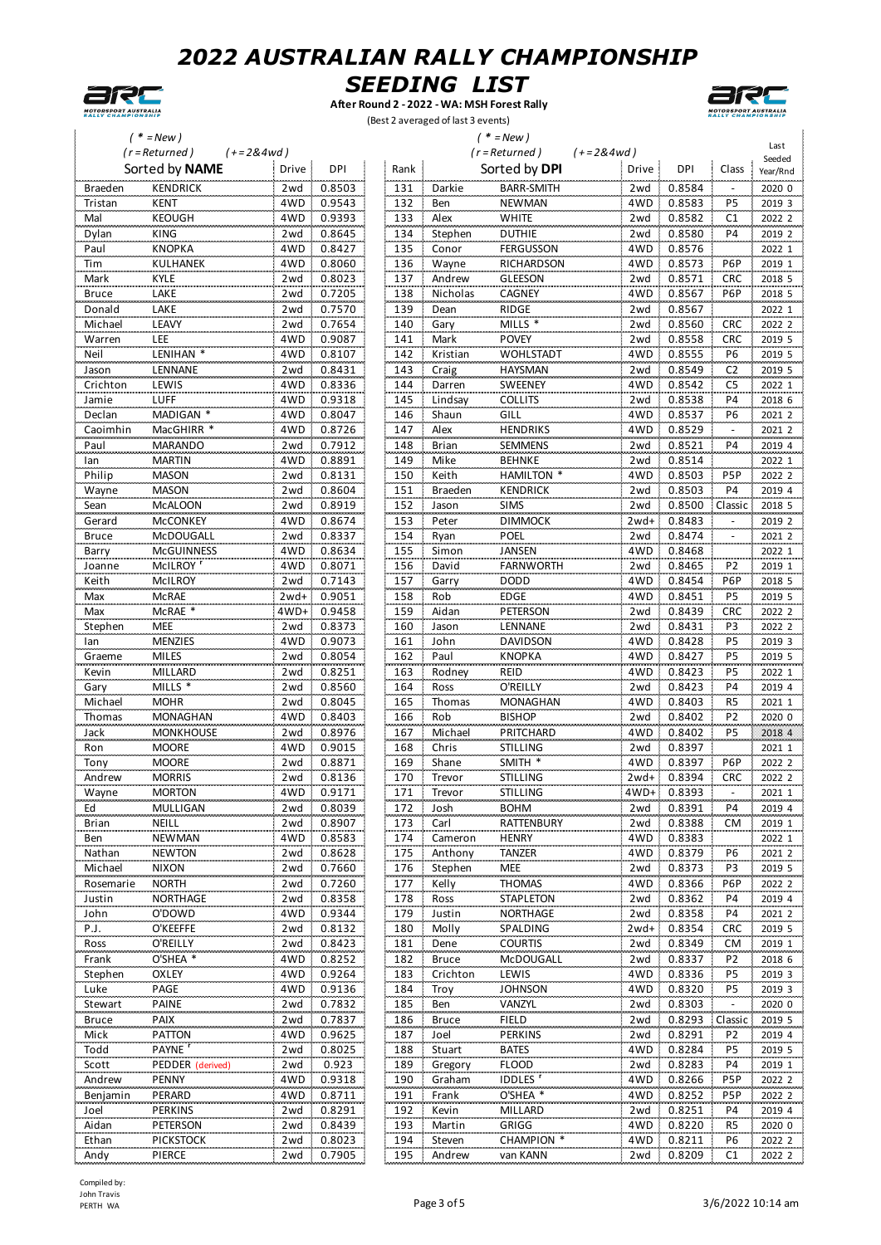



**After Round 2 - 2022 - WA: MSH Forest Rally** (Best 2 averaged of last 3 events)



| $'$ * = New ) |                                    |                      |        |      | $(* = New)$<br>$(r = Returned)$ |                            |                      |             |                          |                    |  |
|---------------|------------------------------------|----------------------|--------|------|---------------------------------|----------------------------|----------------------|-------------|--------------------------|--------------------|--|
|               | $(r = Returned)$<br>Sorted by NAME | $(+=2&4wd)$<br>Drive | DPI    | Rank |                                 | Sorted by DPI              | $(+=2&4wd)$<br>Drive | <b>DPI</b>  | Class                    | Seeded<br>Year/Rnd |  |
| Braeden       | <b>KENDRICK</b>                    | 2wd                  | 0.8503 | 131  | Darkie                          | <b>BARR-SMITH</b>          | 2wd                  | 0.8584      |                          |                    |  |
| Tristan       | <b>KENT</b>                        | 4WD                  | 0.9543 | 132  | Ben                             | <b>NEWMAN</b>              | 4WD                  | 0.8583      | $\overline{PS}$          | 2020 0<br>2019 3   |  |
| Mal           | <b>KEOUGH</b>                      | 4WD                  | 0.9393 | 133  | Alex                            | <b>WHITE</b>               | 2wd                  | 0.8582      | C <sub>1</sub>           | 2022 2             |  |
| Dylan         | KING                               | 2wd                  | 0.8645 | 134  | Stephen                         | <b>DUTHIE</b>              | 2wd                  | 0.8580      | P4                       | 2019 2             |  |
| Paul          | <b>KNOPKA</b>                      | 4WD                  | 0.8427 | 135  | Conor                           | FERGUSSON                  | 4WD                  | 0.8576      |                          | 2022 1             |  |
| Tim           | <b>KULHANEK</b>                    | 4WD                  | 0.8060 | 136  | Wayne                           | RICHARDSON                 | 4WD                  | 0.8573      | P <sub>6</sub> P         | 2019 1             |  |
| Mark          | KYLE                               | 2wd                  | 0.8023 | 137  | Andrew                          | <b>GLEESON</b>             | 2wd                  | 0.8571      | <b>CRC</b>               | 2018 5             |  |
| <b>Bruce</b>  | LAKE                               | 2wd                  | 0.7205 | 138  | Nicholas                        | CAGNEY                     | 4WD                  | 0.8567      | P6P                      | 2018 5             |  |
| Donald        | LAKE                               | 2wd                  | 0.7570 | 139  | Dean                            | <b>RIDGE</b>               | 2wd                  | 0.8567      |                          | 2022 1             |  |
| Michael       | LEAVY                              | 2wd                  | 0.7654 | 140  | Gary                            | MILLS *                    | 2wd                  | 0.8560      | <b>CRC</b>               | 2022 2             |  |
| Warren        | LEE                                | 4WD                  | 0.9087 | 141  | Mark                            | <b>POVEY</b>               | 2wd                  | 0.8558      | <b>CRC</b>               | 2019 5             |  |
| Neil          | LENIHAN *                          | 4WD                  | 0.8107 | 142  | Kristian                        | <b>WOHLSTADT</b>           | 4WD                  | 0.8555      | P <sub>6</sub>           | 2019 5             |  |
| Jason         | LENNANE                            | 2wd                  | 0.8431 | 143  | Craig                           | <b>HAYSMAN</b>             | 2wd                  | 0.8549      | C <sub>2</sub>           | 2019 5             |  |
| Crichton      | LEWIS                              | 4WD                  | 0.8336 | 144  | Darren                          | <b>SWEENEY</b>             | 4WD                  | 0.8542      | C <sub>5</sub>           | 2022 1             |  |
| Jamie         | LUFF                               | 4WD                  | 0.9318 | 145  | Lindsay                         | <b>COLLITS</b>             | 2wd                  | 0.8538      | <b>P4</b>                | 2018 6             |  |
| Declan        | MADIGAN <sup>*</sup>               | 4WD                  | 0.8047 | 146  | Shaun                           | GILL                       | 4WD                  | 0.8537      | P6                       | 20212              |  |
| Caoimhin      | MacGHIRR <sup>*</sup>              | 4WD                  | 0.8726 | 147  | Alex                            | <b>HENDRIKS</b>            | 4WD                  | 0.8529      | $\overline{\phantom{a}}$ | 2021 2             |  |
| Paul          | <b>MARANDO</b>                     | 2wd                  | 0.7912 | 148  | <b>Brian</b>                    | <b>SEMMENS</b>             | 2wd                  | 0.8521      | P4                       | 2019 4             |  |
| lan           | <b>MARTIN</b>                      | 4WD                  | 0.8891 | 149  | Mike                            | <b>BEHNKE</b>              | 2wd                  | 0.8514      |                          | 2022 1             |  |
| Philip        | <b>MASON</b>                       | 2wd                  | 0.8131 | 150  | Keith                           | HAMILTON *                 | 4WD                  | 0.8503<br>Ξ | P <sub>5</sub> P         | 2022 2             |  |
| Wayne         | <b>MASON</b>                       | 2wd                  | 0.8604 | 151  | Braeden                         | <b>KENDRICK</b>            | 2wd                  | 0.8503      | P4                       | 2019 4             |  |
| Sean          | <b>McALOON</b>                     | 2wd                  | 0.8919 | 152  | Jason                           | <b>SIMS</b>                | 2wd                  | 0.8500      | Classic                  | 2018 5             |  |
| Gerard        | <b>McCONKEY</b>                    | 4WD                  | 0.8674 | 153  | Peter                           | <b>DIMMOCK</b>             | $2wd+$               | 0.8483      |                          | 2019 2             |  |
| <b>Bruce</b>  | McDOUGALL                          | 2wd                  | 0.8337 | 154  | Ryan                            | POEL                       | 2wd                  | 0.8474      |                          | 2021 2             |  |
| Barry         | <b>McGUINNESS</b>                  | 4WD                  | 0.8634 | 155  | Simon                           | <b>JANSEN</b>              | 4WD                  | 0.8468      |                          | 2022 1             |  |
| Joanne        | McILROY <sup>'</sup>               | 4WD                  | 0.8071 | 156  | David                           | <b>FARNWORTH</b>           | 2wd                  | 0.8465      | P <sub>2</sub>           | 2019 1             |  |
| Keith         | McILROY                            | 2wd                  | 0.7143 | 157  | Garry                           | <b>DODD</b>                | 4WD                  | 0.8454<br>÷ | <b>P6P</b>               | 2018 5             |  |
| Max           | <b>McRAE</b>                       | 2wd+                 | 0.9051 | 158  | Rob                             | <b>EDGE</b>                | 4WD                  | 0.8451      | P5                       | 2019 5             |  |
| Max           | McRAE <sup>*</sup>                 | 4WD+:                | 0.9458 | 159  | Aidan                           | PETERSON                   | 2wd                  | 0.8439      | <b>CRC</b>               | 2022 2             |  |
| Stephen       | <b>MEE</b>                         | 2wd                  | 0.8373 | 160  | Jason                           | LENNANE                    | 2wd                  | 0.8431      | P3                       | 2022 2             |  |
| lan           | <b>MENZIES</b>                     | 4WD                  | 0.9073 | 161  | John                            | DAVIDSON                   | 4WD                  | 0.8428      | P5                       | 2019 3             |  |
| Graeme        | <b>MILES</b>                       | 2wd                  | 0.8054 | 162  | Paul                            | <b>KNOPKA</b>              | 4WD                  | 0.8427      | <b>P5</b>                | 2019 5             |  |
| Kevin         | MILLARD                            | 2wd                  | 0.8251 | 163  | Rodney                          | REID                       | 4WD                  | 0.8423      | P <sub>5</sub>           | 2022 1             |  |
| Gary          | MILLS *                            | 2wd                  | 0.8560 | 164  | Ross                            | O'REILLY                   | 2wd                  | 0.8423      | P4                       | 2019 4             |  |
| Michael       | <b>MOHR</b>                        | 2wd                  | 0.8045 | 165  | Thomas                          | MONAGHAN                   | 4WD                  | 0.8403      | R <sub>5</sub>           | 2021 1             |  |
| Thomas        | <b>MONAGHAN</b>                    | 4WD                  | 0.8403 | 166  | Rob                             | <b>BISHOP</b>              | 2wd                  | 0.8402      | P <sub>2</sub>           | 2020 0             |  |
| Jack          | <b>MONKHOUSE</b>                   | 2wd                  | 0.8976 | 167  | Michael                         | PRITCHARD                  | 4WD                  | 0.8402      | P <sub>5</sub>           | 2018 4             |  |
| Ron           | <b>MOORE</b>                       | 4WD                  | 0.9015 | 168  | Chris                           | <b>STILLING</b>            | 2wd                  | 0.8397      |                          | 2021 1             |  |
| Tony          | <b>MOORE</b>                       | 2wd                  | 0.8871 | 169  | Shane                           | SMITH *                    | 4WD                  | 0.8397      | P6P                      | 2022 2             |  |
| Andrew        | <b>MORRIS</b>                      | 2wd                  | 0.8136 | 170  | Trevor                          | <b>STILLING</b>            | $2wd+$               | 0.8394      | <b>CRC</b>               | 2022 2             |  |
| Wayne         | <b>MORTON</b>                      | 4WD -                | 0.9171 | 171  | Trevor                          | STILLING                   |                      | 4WD+ 0.8393 |                          | 2021 1             |  |
| Ed            | MULLIGAN                           | 2wd                  | 0.8039 | 172  | Josh                            | BOHM                       | 2 wd                 | 0.8391      | P4                       | 2019 4             |  |
| <b>Brian</b>  | NEILL                              | 2wd                  | 0.8907 | 173  | Carl                            | RATTENBURY                 | 2wd                  | 0.8388      | <b>CM</b>                | 2019 1             |  |
| Ben           | <b>NEWMAN</b>                      | 4WD                  | 0.8583 | 174  | Cameron                         | <b>HENRY</b>               | 4WD                  | 0.8383      |                          | 2022 1             |  |
| Nathan        | <b>NEWTON</b>                      | 2wd                  | 0.8628 | 175  | Anthony                         | TANZER                     | 4WD.                 | 0.8379      | P6                       | 2021 2             |  |
| Michael       | <b>NIXON</b>                       | 2wd                  | 0.7660 | 176  | Stephen                         | <b>MEE</b>                 | 2wd                  | 0.8373      | P3                       | 2019 5             |  |
| Rosemarie     | <b>NORTH</b>                       | 2wd                  | 0.7260 | 177  | Kelly                           | <b>THOMAS</b>              | 4WD                  | 0.8366<br>÷ | P6P                      | 2022 2             |  |
| Justin        | <b>NORTHAGE</b>                    | 2wd                  | 0.8358 | 178  | Ross                            | STAPLETON                  | 2wd                  | 0.8362      | P4                       | 2019 4             |  |
| John          | O'DOWD                             | 4WD                  | 0.9344 | 179  | Justin                          | NORTHAGE                   | 2wd                  | 0.8358      | P4                       | 2021 2             |  |
| P.J.          | O'KEEFFE                           | 2wd                  | 0.8132 | 180  | Molly                           | SPALDING                   | $2wd+$               | 0.8354      | <b>CRC</b>               | 2019 5             |  |
| Ross          | O'REILLY                           | 2wd                  | 0.8423 | 181  | Dene                            | <b>COURTIS</b>             | 2wd                  | 0.8349      | <b>CM</b>                | 2019 1             |  |
| Frank         | O'SHEA *                           | 4WD                  | 0.8252 | 182  | <b>Bruce</b>                    | McDOUGALL                  | 2wd                  | 0.8337      | P <sub>2</sub>           | 2018 6             |  |
| Stephen       | <b>OXLEY</b>                       | 4WD                  | 0.9264 | 183  | Crichton                        | LEWIS                      | 4WD                  | 0.8336      | P <sub>5</sub>           | 2019 3             |  |
| Luke          | PAGE                               | 4WD                  | 0.9136 | 184  | Troy                            | <b>JOHNSON</b>             | 4WD                  | 0.8320      | P5                       | 2019 3             |  |
| Stewart       | <b>PAINE</b>                       | 2wd                  | 0.7832 | 185  | Ben                             | VANZYL                     | 2wd                  | 0.8303      |                          | 2020 0             |  |
| <b>Bruce</b>  | PAIX                               | 2wd                  | 0.7837 | 186  | <b>Bruce</b>                    | FIELD                      | 2wd                  | 0.8293      | Classic                  | 2019 5             |  |
| Mick          | PATTON                             | 4WD                  | 0.9625 | 187  | Joel                            | <b>PERKINS</b>             | 2wd                  | 0.8291      | P <sub>2</sub>           | 2019 4             |  |
| Todd          | PAYNE <sup>r</sup>                 | 2wd                  | 0.8025 | 188  | Stuart                          | <b>BATES</b>               | 4WD                  | 0.8284      | P5                       | 2019 5             |  |
| Scott         | PEDDER (derived)                   | 2wd                  | 0.923  | 189  | Gregory                         | <b>FLOOD</b>               | 2wd                  | 0.8283      | <b>P4</b>                | 2019 1             |  |
| Andrew        | <b>PENNY</b>                       | 4WD                  | 0.9318 | 190  | Graham                          | <b>IDDLES</b> <sup>r</sup> | 4WD                  | 0.8266      | P <sub>5</sub> P         | 2022 2             |  |
| Benjamin      | PERARD                             | 4WD                  | 0.8711 | 191  | Frank                           | O'SHEA *                   | 4WD                  | 0.8252      | P <sub>5</sub> P         | 2022 2             |  |
| Joel          | PERKINS                            | 2wd                  | 0.8291 | 192  | Kevin                           | MILLARD                    | 2wd                  | 0.8251      | P4                       | 2019 4             |  |
| Aidan         | PETERSON                           | 2wd                  | 0.8439 | 193  | Martin                          | <b>GRIGG</b>               | 4WD                  | 0.8220      | R <sub>5</sub>           | 2020 0             |  |
| Ethan         | <b>PICKSTOCK</b>                   | 2wd                  | 0.8023 | 194  | Steven                          | CHAMPION *                 |                      | 4WD 0.8211  | P <sub>6</sub>           | 2022 2             |  |
| Andy          | PIERCE                             | 2wd                  | 0.7905 | 195  | Andrew                          | van KANN                   |                      | 2wd 0.8209  | C1                       | 2022 2             |  |
|               |                                    |                      |        |      |                                 |                            |                      |             |                          |                    |  |

Compiled by: John Travis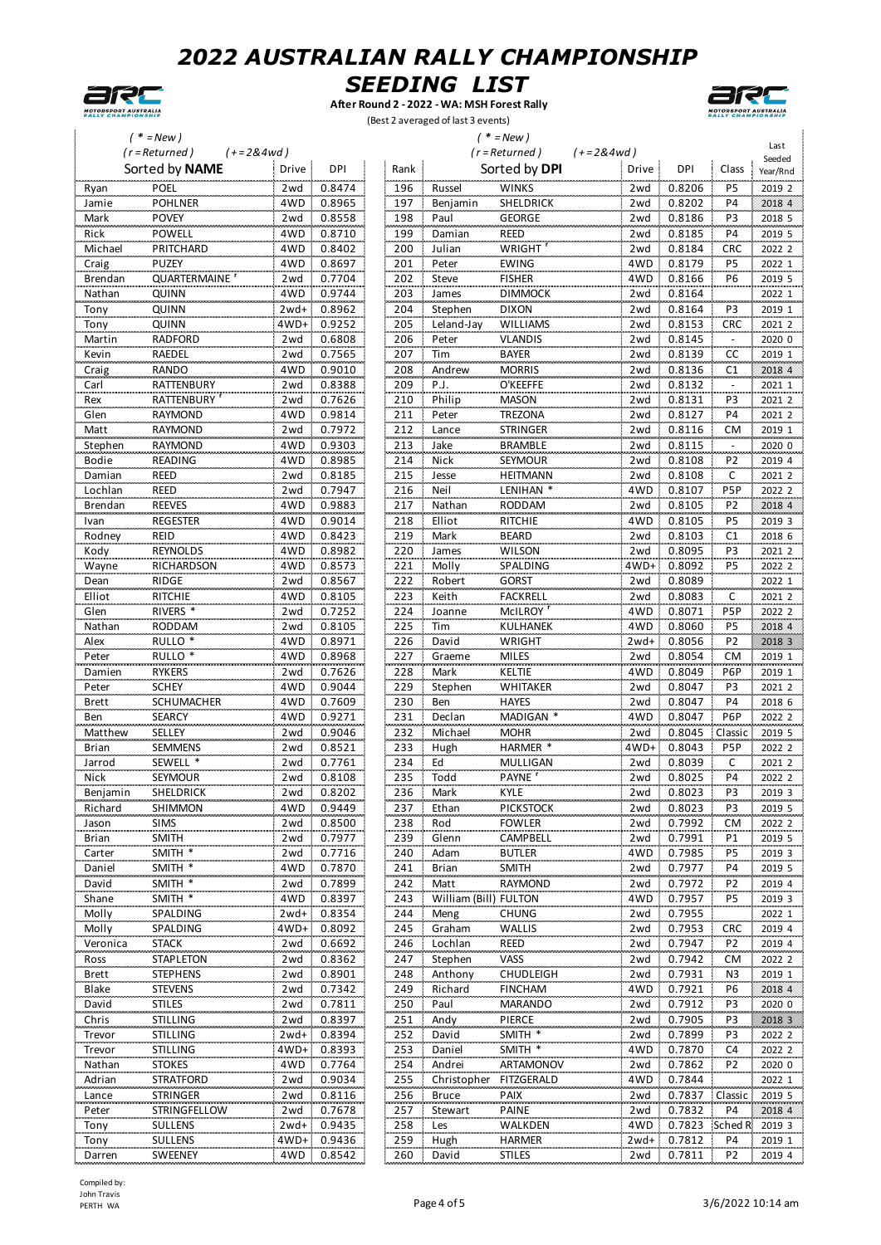



**After Round 2 - 2022 - WA: MSH Forest Rally** (Best 2 averaged of last 3 events)



|                       | $'$ * = New)                             |                                |            |                       | $(* = New)$            |             |                  |                  |                   |
|-----------------------|------------------------------------------|--------------------------------|------------|-----------------------|------------------------|-------------|------------------|------------------|-------------------|
|                       | $(r = Returned)$                         | $(+=2&4wd)$                    |            |                       | $(r = Returned)$       | $(+=2&4wd)$ |                  |                  | Last<br>Seeded    |
|                       | Sorted by NAME                           | Drive<br>DPI                   | Rank       |                       | Sorted by DPI          | Drive       | DPI              | Class            | Year/Rnd          |
| Ryan                  | POEL                                     | 0.8474<br>2wd                  | 196        | Russel                | <b>WINKS</b>           | 2wd         | 0.8206           | P <sub>5</sub>   | 2019 2            |
| Jamie                 | <b>POHLNER</b>                           | 4WD<br>0.8965                  | 197        | Benjamin              | <b>SHELDRICK</b>       | 2wd         | 0.8202           | <b>P4</b>        | 2018 4            |
| Mark                  | <b>POVEY</b>                             | 0.8558<br>2wd                  | 198        | Paul                  | <b>GEORGE</b>          | 2wd         | 0.8186           | P3               | 2018 5            |
| Rick                  | POWELL                                   | 4WD<br>0.8710                  | 199        | Damian                | REED                   | 2wd         | 0.8185           | <b>P4</b>        | 2019 5            |
| Michael               | PRITCHARD                                | 0.8402<br>4WD                  | 200        | Julian                | WRIGHT                 | 2wd         | 0.8184           | <b>CRC</b>       | 2022 2            |
| Craig                 | <b>PUZEY</b>                             | 4WD<br>0.8697                  | 201        | Peter                 | <b>EWING</b>           | 4WD         | 0.8179           | P <sub>5</sub>   | 2022 1            |
| Brendan               | QUARTERMAINE                             | 0.7704<br>2wd                  | 202        | Steve                 | <b>FISHER</b>          | 4WD         | 0.8166           | P6               | 2019 5            |
| Nathan                | QUINN                                    | 0.9744<br>4WD                  | 203        | James                 | <b>DIMMOCK</b>         | 2wd         | 0.8164           |                  | 2022 1            |
| Tony                  | QUINN                                    | 0.8962<br>2wd+                 | 204        | Stephen               | <b>DIXON</b>           | 2wd         | 0.8164           | P3               | 2019 1            |
| Tony                  | <b>QUINN</b>                             | 4WD+<br>0.9252                 | 205        | Leland-Jay            | WILLIAMS               | 2wd         | 0.8153           | CRC              | 2021 2            |
| Martin                | <b>RADFORD</b>                           | 0.6808<br>2wd                  | 206        | Peter                 | <b>VLANDIS</b>         | 2wd         | 0.8145           |                  | 2020 0            |
| Kevin                 | RAEDEL                                   | 2wd<br>0.7565                  | 207        | Tim                   | <b>BAYER</b>           | 2wd         | 0.8139           | CC               | 2019 1            |
| Craig                 | <b>RANDO</b>                             | 4WD<br>0.9010                  | 208        | Andrew                | <b>MORRIS</b>          | 2wd         | 0.8136           | C1               | 2018 4            |
| Carl                  | RATTENBURY                               | 0.8388<br>2wd                  | 209        | P.J.                  | O'KEEFFE               | 2wd         | 0.8132           |                  | 2021 1            |
| Rex                   | RATTENBURY '                             | 0.7626<br>2wd                  | 210        | Philip                | <b>MASON</b>           | 2wd         | 0.8131           | P <sub>3</sub>   | 2021 2            |
| Glen                  | <b>RAYMOND</b>                           | 4WD<br>0.9814                  | 211        | Peter                 | TREZONA                | 2wd         | 0.8127           | <b>P4</b>        | 2021 2            |
| Matt                  | <b>RAYMOND</b>                           | 0.7972<br>2wd                  | 212        | Lance                 | <b>STRINGER</b>        | 2wd         | 0.8116           | CM               | 2019 1            |
| Stephen               | <b>RAYMOND</b>                           | 4WD<br>0.9303                  | 213        | Jake                  | <b>BRAMBLE</b>         | 2wd         | 0.8115           |                  | 2020 0            |
| Bodie                 | READING                                  | 0.8985<br>4WD                  | 214        | Nick                  | SEYMOUR                | 2wd         | 0.8108           | P <sub>2</sub>   | 2019 4            |
| Damian                | REED                                     | 0.8185<br>2wd                  | 215        | Jesse                 | <b>HEITMANN</b>        | 2wd         | 0.8108           | С                | 2021 2            |
| Lochlan               | REED                                     | 0.7947<br>2wd                  | 216        | Neil                  | LENIHAN <sup>*</sup>   | 4WD         | 0.8107           | P <sub>5</sub> P | 2022 2            |
| Brendan               | <b>REEVES</b>                            | 0.9883<br>4WD                  | 217        | Nathan                | <b>RODDAM</b>          | 2wd         | 0.8105           | P <sub>2</sub>   | 2018 4            |
| Ivan                  | <b>REGESTER</b>                          | 4WD<br>0.9014                  | 218        | Elliot                | <b>RITCHIE</b>         | 4WD         | 0.8105           | P <sub>5</sub>   | 2019 3            |
| Rodney                | REID                                     | 0.8423<br>4WD                  | 219        | Mark                  | <b>BEARD</b>           | 2wd         | 0.8103           | C <sub>1</sub>   | 2018 6            |
| Kody                  | <b>REYNOLDS</b>                          | 4WD<br>0.8982                  | 220        | James                 | <b>WILSON</b>          | 2wd         | 0.8095           | P <sub>3</sub>   | 2021 2            |
| Wayne                 | RICHARDSON                               | 4WD<br>0.8573                  | 221        | Molly                 | SPALDING               | 4WD+:       | 0.8092           | P <sub>5</sub>   | 2022 2            |
| Dean                  | <b>RIDGE</b>                             | 2wd<br>0.8567                  | 222        | Robert                | <b>GORST</b>           | 2wd         | 0.8089           |                  | 2022 1            |
| Elliot                | RITCHIE                                  | 4WD<br>0.8105                  | 223        | Keith                 | FACKRELL               | 2wd         | 0.8083           | C                | 2021 2            |
| Glen                  | RIVERS <sup>*</sup>                      | 0.7252<br>2wd                  | 224        | Joanne                | McILROY                | 4WD         | 0.8071           | P <sub>5</sub> P | 2022 2            |
| Nathan                | <b>RODDAM</b>                            | 0.8105<br>2wd                  | 225        | Tim                   | KULHANEK               | 4WD         | 0.8060           | P <sub>5</sub>   | 2018 4            |
| Alex                  | RULLO <sup>*</sup><br>RULLO <sup>*</sup> | 0.8971<br>4WD                  | 226        | David                 | WRIGHT                 | $2wd+$      | 0.8056           | P <sub>2</sub>   | 2018 3            |
| Peter                 | <b>RYKERS</b>                            | 0.8968<br>4WD                  | 227<br>228 | Graeme                | <b>MILES</b><br>KELTIE | 2wd         | 0.8054           | <b>CM</b>        | 2019 1            |
| Damien                | <b>SCHEY</b>                             | 0.7626<br>2wd<br>4WD<br>0.9044 | 229        | Mark<br>Stephen       | <b>WHITAKER</b>        | 4WD<br>2wd  | 0.8049<br>0.8047 | P6P<br>P3        | 2019 1<br>2021 2  |
| Peter<br><b>Brett</b> | <b>SCHUMACHER</b>                        | 0.7609<br>4WD                  | 230        | Ben                   | <b>HAYES</b>           | 2wd         | 0.8047           | <b>P4</b>        | 2018 6            |
| Ben                   | <b>SEARCY</b>                            | 0.9271<br>4WD                  | 231        | Declan                | MADIGAN *              | 4WD         | 0.8047           | P6P              | 2022 2            |
| Matthew               | SELLEY                                   | 2wd<br>0.9046                  | 232        | Michael               | <b>MOHR</b>            | 2wd         | 0.8045           | Classic          | 2019 5            |
| <b>Brian</b>          | <b>SEMMENS</b>                           | 0.8521<br>2wd                  | 233        | Hugh                  | HARMER                 | 4WD+:       | 0.8043           | P <sub>5</sub> P | 2022 2            |
| Jarrod                | SEWELL <sup>*</sup>                      | 0.7761<br>2wd                  | 234        | Ed                    | <b>MULLIGAN</b>        | 2wd         | 0.8039           | C                | 2021 2            |
| Nick                  | SEYMOUR                                  | 2wd<br>0.8108                  | 235        | Todd                  | PAYNE                  | 2wd         | 0.8025           | <b>P4</b>        | 2022 2            |
| Benjamin              | <b>SHELDRICK</b>                         | zwa l<br>0.8202                | 236        | Mark                  | KYLE                   | zwa         | 0.8023           | Р3               | 2019 3            |
| Richard               | SHIMMON                                  | 0.9449<br>4WD                  | 237        | Ethan                 | <b>PICKSTOCK</b>       | 2wd         | 0.8023           | P3               | 2019 5            |
| Jason                 | <b>SIMS</b>                              | 0.8500<br>2wd                  | 238        | Rod                   | <b>FOWLER</b>          | 2wd         | 0.7992           | СM               | 2022 2            |
| Brian                 | <b>SMITH</b>                             | 0.7977<br>2wd                  | 239        | Glenn                 | CAMPBELL               | 2wd         | 0.7991           | P1               | 2019 5            |
| Carter                | SMITH *                                  | 2wd<br>0.7716                  | 240        | Adam                  | <b>BUTLER</b>          | 4WD         | 0.7985           | P <sub>5</sub>   | 2019 3            |
| Daniel                | SMITH *                                  | 0.7870<br>4WD                  | 241        | <b>Brian</b>          | <b>SMITH</b>           | 2wd         | 0.7977           | P4               | 2019 5            |
| David                 | SMITH *                                  | 0.7899<br>2wd                  | 242        | Matt                  | RAYMOND                | 2wd         | 0.7972           | P <sub>2</sub>   | 2019 4            |
| Shane                 | SMITH *                                  | 4WD<br>0.8397                  | 243        | William (Bill) FULTON |                        | 4WD         | 0.7957           | P <sub>5</sub>   | 2019 3            |
| Molly                 | SPALDING                                 | $2wd+$<br>0.8354               | 244        | Meng                  | <b>CHUNG</b>           | 2wd         | 0.7955           |                  | 2022 1            |
| Molly                 | SPALDING                                 | 4WD+ 0.8092                    | 245        | Graham                | WALLIS                 | 2wd         | 0.7953           | <b>CRC</b>       | 2019 4            |
| Veronica              | <b>STACK</b>                             | 0.6692<br>2wd                  | 246        | Lochlan               | REED                   | 2wd         | 0.7947           | P <sub>2</sub>   | 2019 4            |
| Ross                  | <b>STAPLETON</b>                         | 0.8362<br>2wd                  | 247        | Stephen               | VASS                   | 2wd         | 0.7942           | <b>CM</b>        | 2022 2            |
| <b>Brett</b>          | <b>STEPHENS</b>                          | 0.8901<br>2wd                  | 248        | Anthony               | <b>CHUDLEIGH</b>       | 2wd         | 0.7931           | N3               | 2019 1            |
| Blake                 | <b>STEVENS</b>                           | 0.7342<br>2wd                  | 249        | Richard               | <b>FINCHAM</b>         | 4WD         | 0.7921           | P6               | 2018 4            |
| David                 | <b>STILES</b>                            | 2wd<br>0.7811                  | 250        | Paul                  | MARANDO                | 2wd         | 0.7912           | P <sub>3</sub>   | 2020 0            |
| Chris                 | <b>STILLING</b>                          | 0.8397<br>2wd                  | 251        | Andy                  | PIERCE                 | 2wd         | 0.7905           | P3               | 2018 3            |
| Trevor                | <b>STILLING</b>                          | 0.8394<br>2wd+                 | 252        | David                 | SMITH *                | 2wd         | 0.7899           | P <sub>3</sub>   | 2022 2            |
| Trevor                | <b>STILLING</b>                          | 0.8393<br>4WD+                 | 253        | Daniel                | SMITH *                | 4WD         | 0.7870           | C4               | 2022 2            |
| Nathan                | <b>STOKES</b>                            | 0.7764<br>4WD                  | 254        | Andrei                | ARTAMONOV              | 2wd         | 0.7862           | P <sub>2</sub>   | 2020 0            |
| Adrian                | <b>STRATFORD</b>                         | 0.9034<br>2wd                  | 255        | Christopher           | FITZGERALD             | 4WD         | 0.7844           |                  | 2022 1            |
| Lance                 | <b>STRINGER</b>                          | 2wd<br>0.8116                  | 256        | <b>Bruce</b>          | <b>PAIX</b>            | 2wd         | 0.7837           | Classic          | 2019 5            |
| Peter                 | STRINGFELLOW                             | 0.7678<br>2wd                  | 257        | Stewart               | <b>PAINE</b>           | 2wd         | 0.7832           | <b>P4</b>        | 2018 4            |
| Tony                  | <b>SULLENS</b>                           | 0.9435<br>$2wd+$               | 258        | Les                   | WALKDEN                | 4WD         | 0.7823           |                  | Sched R 2019 3    |
| Tony                  | <b>SULLENS</b>                           | 4WD+ 0.9436                    | 259        | Hugh                  | HARMER                 |             | 2wd+ 0.7812      | P4               | 2019 1            |
| Darren                | <b>SWEENEY</b>                           | 4WD 0.8542                     | 260        | David                 | <b>STILES</b>          |             | 2wd  0.7811      | P <sub>2</sub>   | 2019 <sub>4</sub> |

Compiled by: John Travis<br>PERTH WA